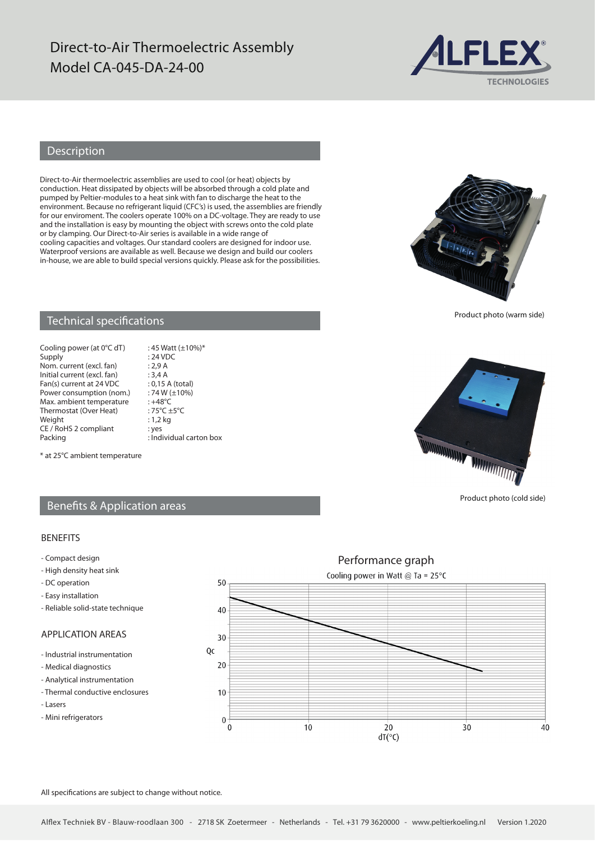### Direct-to-Air Thermoelectric Assembly Model CA-045-DA-24-00



### Description

Direct-to-Air thermoelectric assemblies are used to cool (or heat) objects by conduction. Heat dissipated by objects will be absorbed through a cold plate and pumped by Peltier-modules to a heat sink with fan to discharge the heat to the environment. Because no refrigerant liquid (CFC's) is used, the assemblies are friendly for our enviroment. The coolers operate 100% on a DC-voltage. They are ready to use and the installation is easy by mounting the object with screws onto the cold plate or by clamping. Our Direct-to-Air series is available in a wide range of cooling capacities and voltages. Our standard coolers are designed for indoor use. Waterproof versions are available as well. Because we design and build our coolers in-house, we are able to build special versions quickly. Please ask for the possibilities.



Product photo (warm side)

#### Technical specifications

Cooling power (at  $0^{\circ}$ C dT) : 45 Watt ( $\pm$ 10%)\* Supply : 24 VDC Nom. current (excl. fan) : 2,9 A<br>Initial current (excl. fan) : 3,4 A Initial current (excl. fan) : 3,4 A<br>Fan(s) current at 24 VDC : 0,15 A (total) Fan(s) current at 24 VDC : 0,15 A (total)<br>Power consumption (nom.) : 74 W ( $\pm$ 10%) Power consumption (nom.) :  $74 W$  (<br>Max ambient temperature :  $+48^{\circ}C$ Max. ambient temperature : +48°C<br>Thermostat (Over Heat) : 75°C +5°C Thermostat (Over Heat) :  $75^{\circ}C \pm$ <br>Weight : 1,2 kg Weight CE / RoHS 2 compliant : yes<br>Packing : Ind

 $:$  Individual carton box

*<u> ANTANIAN DIMINITION OF STATION OF STATION OF STATION OF STATION OF STATION OF STATION OF STATION OF STATION OF STATION OF STATION OF STATION OF STATION OF STATION OF STATION OF STATION OF STATION OF STATION OF STATION* </u>

Product photo (cold side)

# \* at 25°C ambient temperature

#### Benefits & Application areas

#### BENEFITS

- Compact design
- High density heat sink
- DC operation
- Easy installation
- Reliable solid-state technique

### APPLICATION AREAS

- Industrial instrumentation
- Medical diagnostics
- Analytical instrumentation
- Thermal conductive enclosures
- Lasers
- Mini refrigerators



All specifications are subject to change without notice.